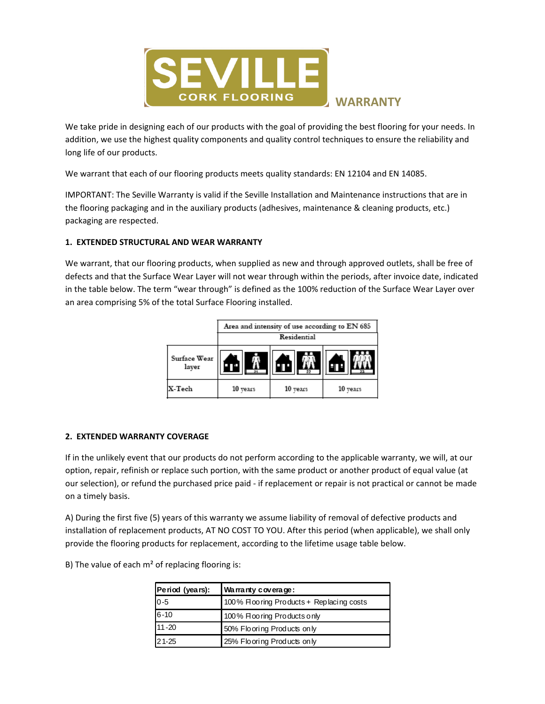

# WARRANTY

We take pride in designing each of our products with the goal of providing the best flooring for your needs. In addition, we use the highest quality components and quality control techniques to ensure the reliability and long life of our products.

We warrant that each of our flooring products meets quality standards: EN 12104 and EN 14085.

IMPORTANT: The Seville Warranty is valid if the Seville Installation and Maintenance instructions that are in the flooring packaging and in the auxiliary products (adhesives, maintenance & cleaning products, etc.) packaging are respected.

## 1. EXTENDED STRUCTURAL AND WEAR WARRANTY

We warrant, that our flooring products, when supplied as new and through approved outlets, shall be free of defects and that the Surface Wear Layer will not wear through within the periods, after invoice date, indicated in the table below. The term "wear through" is defined as the 100% reduction of the Surface Wear Layer over an area comprising 5% of the total Surface Flooring installed.



#### 2. EXTENDED WARRANTY COVERAGE

If in the unlikely event that our products do not perform according to the applicable warranty, we will, at our option, repair, refinish or replace such portion, with the same product or another product of equal value (at our selection), or refund the purchased price paid - if replacement or repair is not practical or cannot be made on a timely basis.

A) During the first five (5) years of this warranty we assume liability of removal of defective products and installation of replacement products, AT NO COST TO YOU. After this period (when applicable), we shall only provide the flooring products for replacement, according to the lifetime usage table below.

B) The value of each  $m<sup>2</sup>$  of replacing flooring is:

| Period (years): | Warranty coverage:                        |
|-----------------|-------------------------------------------|
| $0 - 5$         | 100% Floo ring Products + Replacing costs |
| $6 - 10$        | 100% Floo ring Products only              |
| $11 - 20$       | 50% Flooring Products only                |
| $21 - 25$       | 25% Flooring Products only                |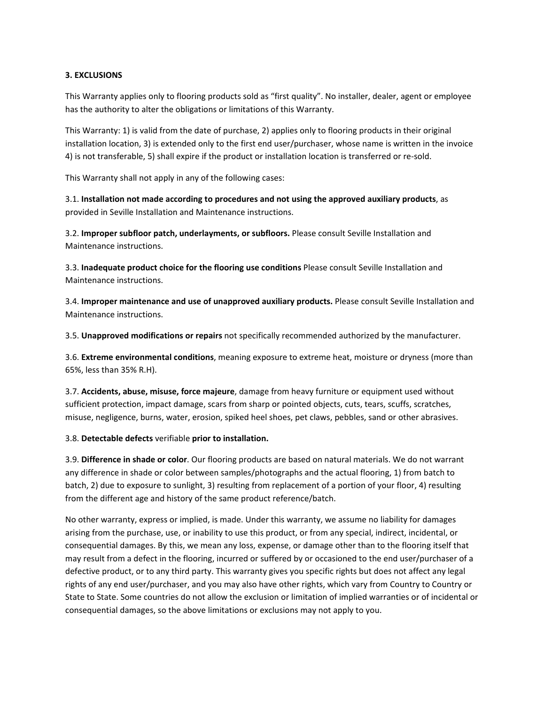### 3. EXCLUSIONS

This Warranty applies only to flooring products sold as "first quality". No installer, dealer, agent or employee has the authority to alter the obligations or limitations of this Warranty.

This Warranty: 1) is valid from the date of purchase, 2) applies only to flooring products in their original installation location, 3) is extended only to the first end user/purchaser, whose name is written in the invoice 4) is not transferable, 5) shall expire if the product or installation location is transferred or re-sold.

This Warranty shall not apply in any of the following cases:

3.1. Installation not made according to procedures and not using the approved auxiliary products, as provided in Seville Installation and Maintenance instructions.

3.2. Improper subfloor patch, underlayments, or subfloors. Please consult Seville Installation and Maintenance instructions.

3.3. Inadequate product choice for the flooring use conditions Please consult Seville Installation and Maintenance instructions.

3.4. Improper maintenance and use of unapproved auxiliary products. Please consult Seville Installation and Maintenance instructions.

3.5. Unapproved modifications or repairs not specifically recommended authorized by the manufacturer.

3.6. Extreme environmental conditions, meaning exposure to extreme heat, moisture or dryness (more than 65%, less than 35% R.H).

3.7. Accidents, abuse, misuse, force majeure, damage from heavy furniture or equipment used without sufficient protection, impact damage, scars from sharp or pointed objects, cuts, tears, scuffs, scratches, misuse, negligence, burns, water, erosion, spiked heel shoes, pet claws, pebbles, sand or other abrasives.

3.8. Detectable defects verifiable prior to installation.

3.9. Difference in shade or color. Our flooring products are based on natural materials. We do not warrant any difference in shade or color between samples/photographs and the actual flooring, 1) from batch to batch, 2) due to exposure to sunlight, 3) resulting from replacement of a portion of your floor, 4) resulting from the different age and history of the same product reference/batch.

No other warranty, express or implied, is made. Under this warranty, we assume no liability for damages arising from the purchase, use, or inability to use this product, or from any special, indirect, incidental, or consequential damages. By this, we mean any loss, expense, or damage other than to the flooring itself that may result from a defect in the flooring, incurred or suffered by or occasioned to the end user/purchaser of a defective product, or to any third party. This warranty gives you specific rights but does not affect any legal rights of any end user/purchaser, and you may also have other rights, which vary from Country to Country or State to State. Some countries do not allow the exclusion or limitation of implied warranties or of incidental or consequential damages, so the above limitations or exclusions may not apply to you.